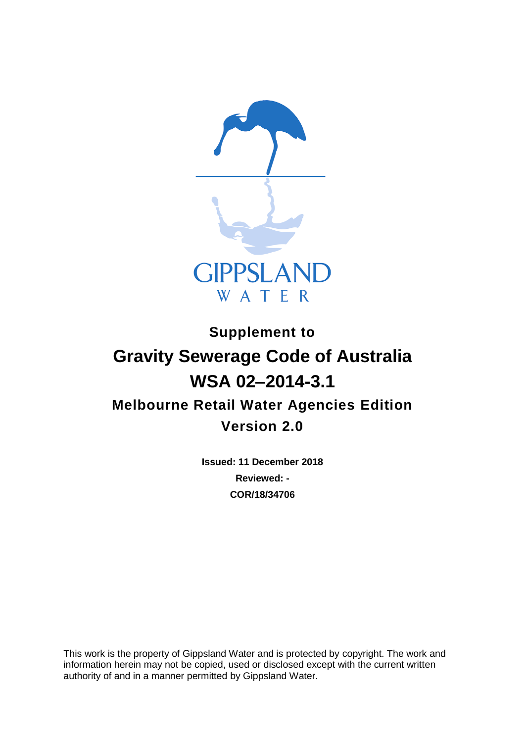

# **Supplement to Gravity Sewerage Code of Australia WSA 02–2014-3.1 Melbourne Retail Water Agencies Edition Version 2.0**

**Issued: 11 December 2018 Reviewed: - COR/18/34706**

This work is the property of Gippsland Water and is protected by copyright. The work and information herein may not be copied, used or disclosed except with the current written authority of and in a manner permitted by Gippsland Water.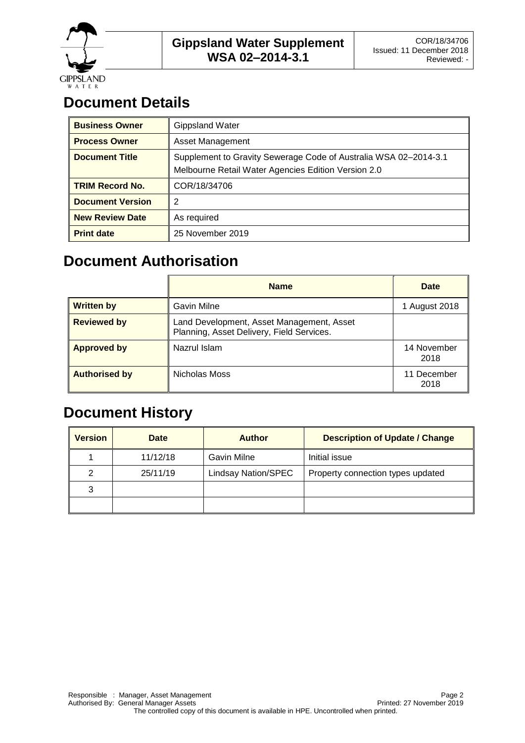

# **Document Details**

| <b>Business Owner</b>   | <b>Gippsland Water</b>                                                                                                  |  |
|-------------------------|-------------------------------------------------------------------------------------------------------------------------|--|
| <b>Process Owner</b>    | <b>Asset Management</b>                                                                                                 |  |
| <b>Document Title</b>   | Supplement to Gravity Sewerage Code of Australia WSA 02-2014-3.1<br>Melbourne Retail Water Agencies Edition Version 2.0 |  |
| <b>TRIM Record No.</b>  | COR/18/34706                                                                                                            |  |
| <b>Document Version</b> | 2                                                                                                                       |  |
| <b>New Review Date</b>  | As required                                                                                                             |  |
| <b>Print date</b>       | 25 November 2019                                                                                                        |  |

# **Document Authorisation**

|                      | <b>Name</b>                                                                            | <b>Date</b>         |
|----------------------|----------------------------------------------------------------------------------------|---------------------|
| <b>Written by</b>    | Gavin Milne                                                                            | 1 August 2018       |
| <b>Reviewed by</b>   | Land Development, Asset Management, Asset<br>Planning, Asset Delivery, Field Services. |                     |
| <b>Approved by</b>   | Nazrul Islam                                                                           | 14 November<br>2018 |
| <b>Authorised by</b> | Nicholas Moss                                                                          | 11 December<br>2018 |

# **Document History**

| <b>Version</b> | Date     | <b>Author</b>              | <b>Description of Update / Change</b> |
|----------------|----------|----------------------------|---------------------------------------|
|                | 11/12/18 | Gavin Milne                | Initial issue                         |
| 2              | 25/11/19 | <b>Lindsay Nation/SPEC</b> | Property connection types updated     |
| 3              |          |                            |                                       |
|                |          |                            |                                       |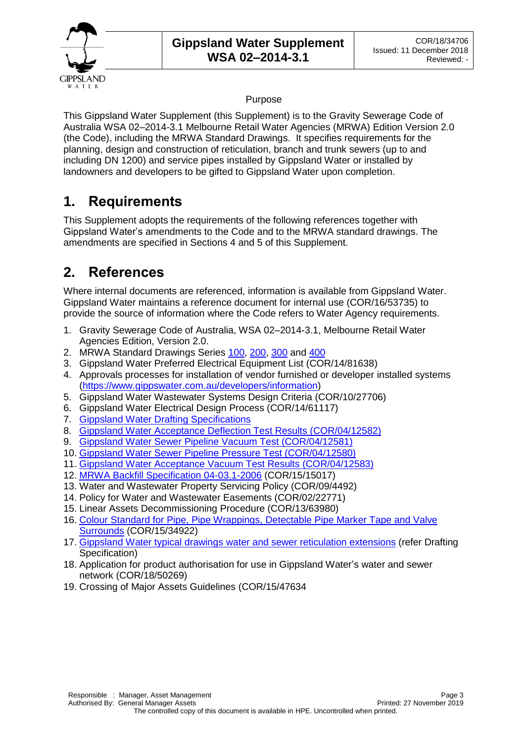

### Purpose

This Gippsland Water Supplement (this Supplement) is to the Gravity Sewerage Code of Australia WSA 02–2014-3.1 Melbourne Retail Water Agencies (MRWA) Edition Version 2.0 (the Code), including the MRWA Standard Drawings. It specifies requirements for the planning, design and construction of reticulation, branch and trunk sewers (up to and including DN 1200) and service pipes installed by Gippsland Water or installed by landowners and developers to be gifted to Gippsland Water upon completion.

### **1. Requirements**

This Supplement adopts the requirements of the following references together with Gippsland Water's amendments to the Code and to the MRWA standard drawings. The amendments are specified in Sections 4 and 5 of this Supplement.

### **2. References**

Where internal documents are referenced, information is available from Gippsland Water. Gippsland Water maintains a reference document for internal use (COR/16/53735) to provide the source of information where the Code refers to Water Agency requirements.

- 1. Gravity Sewerage Code of Australia, WSA 02–2014-3.1, Melbourne Retail Water Agencies Edition, Version 2.0.
- 2. MRWA Standard Drawings Series [100,](http://mrwa.com.au/Documents/Standards/MRWAWSA02/100-Series.pdf) [200,](http://mrwa.com.au/Documents/Standards/MRWAWSA02/200-Series.pdf) [300](http://mrwa.com.au/Documents/Standards/MRWAWSA02/300-Series.pdf) and [400](http://mrwa.com.au/Documents/Standards/MRWAWSA02/400-Series.pdf)
- 3. Gippsland Water Preferred Electrical Equipment List (COR/14/81638)
- 4. Approvals processes for installation of vendor furnished or developer installed systems [\(https://www.gippswater.com.au/developers/information\)](https://www.gippswater.com.au/developers/information)
- 5. Gippsland Water Wastewater Systems Design Criteria (COR/10/27706)
- 6. Gippsland Water Electrical Design Process (COR/14/61117)
- 7. [Gippsland Water Drafting Specifications](https://www.gippswater.com.au/developers/information/drafting-specifications)
- 8. [Gippsland Water Acceptance Deflection Test Results \(COR/04/12582\)](https://www.gippswater.com.au/developers/information/information-design-consultants)
- 9. [Gippsland Water Sewer Pipeline Vacuum Test \(COR/04/12581\)](https://www.gippswater.com.au/developers/information/information-design-consultants)
- 10. [Gippsland Water Sewer Pipeline Pressure Test \(COR/04/12580\)](https://www.gippswater.com.au/developers/information/information-design-consultants)
- 11. [Gippsland Water Acceptance Vacuum Test Results \(COR/04/12583\)](https://www.gippswater.com.au/developers/information/information-design-consultants)
- 12. [MRWA Backfill Specification 04-03.1-2006](https://www.gippswater.com.au/developers/information/national-codes-our-addendums) (COR/15/15017)
- 13. Water and Wastewater Property Servicing Policy (COR/09/4492)
- 14. Policy for Water and Wastewater Easements (COR/02/22771)
- 15. Linear Assets Decommissioning Procedure (COR/13/63980)
- 16. [Colour Standard for Pipe, Pipe Wrappings, Detectable Pipe Marker Tape and Valve](https://www.gippswater.com.au/developers/information/information-accredited-pipelayers)  [Surrounds](https://www.gippswater.com.au/developers/information/information-accredited-pipelayers) (COR/15/34922)
- 17. Gippsland Water typical drawings [water and sewer reticulation extensions](https://www.gippswater.com.au/developers/information/drafting-specifications) (refer Drafting Specification)
- 18. Application for product authorisation for use in Gippsland Water's water and sewer network (COR/18/50269)
- 19. Crossing of Major Assets Guidelines (COR/15/47634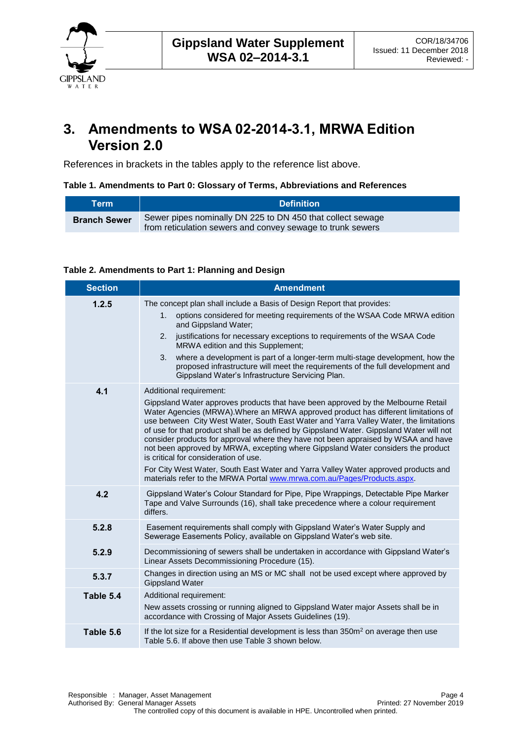

### **3. Amendments to WSA 02-2014-3.1, MRWA Edition Version 2.0**

References in brackets in the tables apply to the reference list above.

**Table 1. Amendments to Part 0: Glossary of Terms, Abbreviations and References**

| Term                | <b>Definition</b>                                                                                                        |
|---------------------|--------------------------------------------------------------------------------------------------------------------------|
| <b>Branch Sewer</b> | Sewer pipes nominally DN 225 to DN 450 that collect sewage<br>from reticulation sewers and convey sewage to trunk sewers |

### **Table 2. Amendments to Part 1: Planning and Design**

| <b>Section</b> | <b>Amendment</b>                                                                                                                                                                                                                                                                                                                                                                                                                                                                                                                                                                                                                                                                                                                                                            |  |  |
|----------------|-----------------------------------------------------------------------------------------------------------------------------------------------------------------------------------------------------------------------------------------------------------------------------------------------------------------------------------------------------------------------------------------------------------------------------------------------------------------------------------------------------------------------------------------------------------------------------------------------------------------------------------------------------------------------------------------------------------------------------------------------------------------------------|--|--|
| 1.2.5          | The concept plan shall include a Basis of Design Report that provides:<br>options considered for meeting requirements of the WSAA Code MRWA edition<br>1.<br>and Gippsland Water;<br>justifications for necessary exceptions to requirements of the WSAA Code<br>2.<br>MRWA edition and this Supplement;<br>where a development is part of a longer-term multi-stage development, how the<br>3.<br>proposed infrastructure will meet the requirements of the full development and<br>Gippsland Water's Infrastructure Servicing Plan.                                                                                                                                                                                                                                       |  |  |
| 4.1            | Additional requirement:<br>Gippsland Water approves products that have been approved by the Melbourne Retail<br>Water Agencies (MRWA). Where an MRWA approved product has different limitations of<br>use between City West Water, South East Water and Yarra Valley Water, the limitations<br>of use for that product shall be as defined by Gippsland Water. Gippsland Water will not<br>consider products for approval where they have not been appraised by WSAA and have<br>not been approved by MRWA, excepting where Gippsland Water considers the product<br>is critical for consideration of use.<br>For City West Water, South East Water and Yarra Valley Water approved products and<br>materials refer to the MRWA Portal www.mrwa.com.au/Pages/Products.aspx. |  |  |
| 4.2            | Gippsland Water's Colour Standard for Pipe, Pipe Wrappings, Detectable Pipe Marker<br>Tape and Valve Surrounds (16), shall take precedence where a colour requirement<br>differs.                                                                                                                                                                                                                                                                                                                                                                                                                                                                                                                                                                                           |  |  |
| 5.2.8          | Easement requirements shall comply with Gippsland Water's Water Supply and<br>Sewerage Easements Policy, available on Gippsland Water's web site.                                                                                                                                                                                                                                                                                                                                                                                                                                                                                                                                                                                                                           |  |  |
| 5.2.9          | Decommissioning of sewers shall be undertaken in accordance with Gippsland Water's<br>Linear Assets Decommissioning Procedure (15).                                                                                                                                                                                                                                                                                                                                                                                                                                                                                                                                                                                                                                         |  |  |
| 5.3.7          | Changes in direction using an MS or MC shall not be used except where approved by<br><b>Gippsland Water</b>                                                                                                                                                                                                                                                                                                                                                                                                                                                                                                                                                                                                                                                                 |  |  |
| Table 5.4      | Additional requirement:<br>New assets crossing or running aligned to Gippsland Water major Assets shall be in<br>accordance with Crossing of Major Assets Guidelines (19).                                                                                                                                                                                                                                                                                                                                                                                                                                                                                                                                                                                                  |  |  |
| Table 5.6      | If the lot size for a Residential development is less than 350m <sup>2</sup> on average then use<br>Table 5.6. If above then use Table 3 shown below.                                                                                                                                                                                                                                                                                                                                                                                                                                                                                                                                                                                                                       |  |  |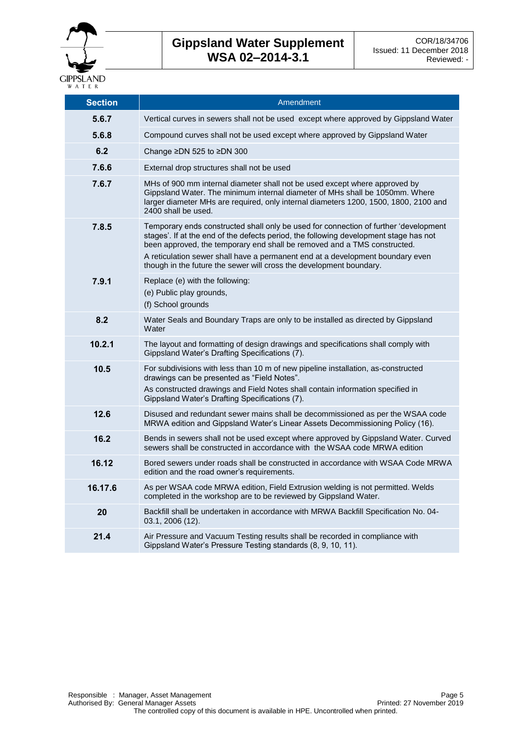

### **Gippsland Water Supplement WSA 02–2014-3.1**

| <b>Section</b> | Amendment                                                                                                                                                                                                                                                                                                                                                                                                          |
|----------------|--------------------------------------------------------------------------------------------------------------------------------------------------------------------------------------------------------------------------------------------------------------------------------------------------------------------------------------------------------------------------------------------------------------------|
| 5.6.7          | Vertical curves in sewers shall not be used except where approved by Gippsland Water                                                                                                                                                                                                                                                                                                                               |
| 5.6.8          | Compound curves shall not be used except where approved by Gippsland Water                                                                                                                                                                                                                                                                                                                                         |
| 6.2            | Change ≥DN 525 to ≥DN 300                                                                                                                                                                                                                                                                                                                                                                                          |
| 7.6.6          | External drop structures shall not be used                                                                                                                                                                                                                                                                                                                                                                         |
| 7.6.7          | MHs of 900 mm internal diameter shall not be used except where approved by<br>Gippsland Water. The minimum internal diameter of MHs shall be 1050mm. Where<br>larger diameter MHs are required, only internal diameters 1200, 1500, 1800, 2100 and<br>2400 shall be used.                                                                                                                                          |
| 7.8.5          | Temporary ends constructed shall only be used for connection of further 'development<br>stages'. If at the end of the defects period, the following development stage has not<br>been approved, the temporary end shall be removed and a TMS constructed.<br>A reticulation sewer shall have a permanent end at a development boundary even<br>though in the future the sewer will cross the development boundary. |
| 7.9.1          | Replace (e) with the following:<br>(e) Public play grounds,<br>(f) School grounds                                                                                                                                                                                                                                                                                                                                  |
| 8.2            | Water Seals and Boundary Traps are only to be installed as directed by Gippsland<br>Water                                                                                                                                                                                                                                                                                                                          |
| 10.2.1         | The layout and formatting of design drawings and specifications shall comply with<br>Gippsland Water's Drafting Specifications (7).                                                                                                                                                                                                                                                                                |
| 10.5           | For subdivisions with less than 10 m of new pipeline installation, as-constructed<br>drawings can be presented as "Field Notes".<br>As constructed drawings and Field Notes shall contain information specified in<br>Gippsland Water's Drafting Specifications (7).                                                                                                                                               |
| 12.6           | Disused and redundant sewer mains shall be decommissioned as per the WSAA code<br>MRWA edition and Gippsland Water's Linear Assets Decommissioning Policy (16).                                                                                                                                                                                                                                                    |
| 16.2           | Bends in sewers shall not be used except where approved by Gippsland Water. Curved<br>sewers shall be constructed in accordance with the WSAA code MRWA edition                                                                                                                                                                                                                                                    |
| 16.12          | Bored sewers under roads shall be constructed in accordance with WSAA Code MRWA<br>edition and the road owner's requirements.                                                                                                                                                                                                                                                                                      |
| 16.17.6        | As per WSAA code MRWA edition, Field Extrusion welding is not permitted. Welds<br>completed in the workshop are to be reviewed by Gippsland Water.                                                                                                                                                                                                                                                                 |
| 20             | Backfill shall be undertaken in accordance with MRWA Backfill Specification No. 04-<br>03.1, 2006 (12).                                                                                                                                                                                                                                                                                                            |
| 21.4           | Air Pressure and Vacuum Testing results shall be recorded in compliance with<br>Gippsland Water's Pressure Testing standards (8, 9, 10, 11).                                                                                                                                                                                                                                                                       |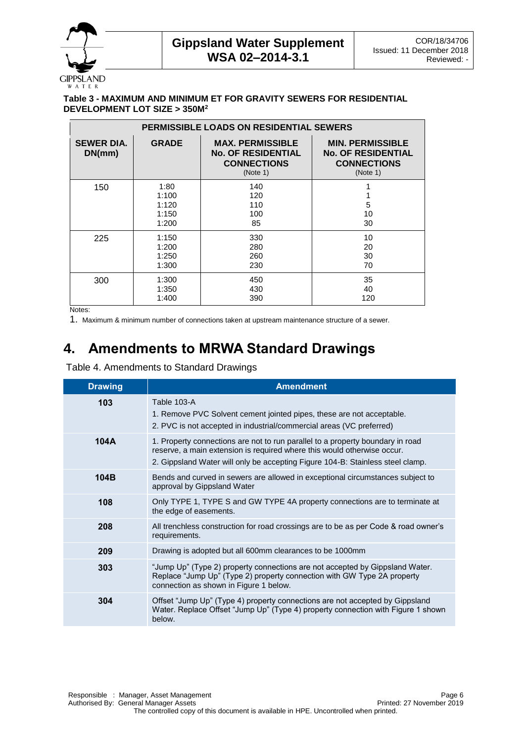

**GIPPSLAND** W A T E R

#### **Table 3 - MAXIMUM AND MINIMUM ET FOR GRAVITY SEWERS FOR RESIDENTIAL DEVELOPMENT LOT SIZE > 350M<sup>2</sup>**

| <b>PERMISSIBLE LOADS ON RESIDENTIAL SEWERS</b> |                                          |                                                                                        |                                                                                        |
|------------------------------------------------|------------------------------------------|----------------------------------------------------------------------------------------|----------------------------------------------------------------------------------------|
| <b>SEWER DIA.</b><br>DN(mm)                    | <b>GRADE</b>                             | <b>MAX. PERMISSIBLE</b><br><b>No. OF RESIDENTIAL</b><br><b>CONNECTIONS</b><br>(Note 1) | <b>MIN. PERMISSIBLE</b><br><b>No. OF RESIDENTIAL</b><br><b>CONNECTIONS</b><br>(Note 1) |
| 150                                            | 1:80<br>1:100<br>1:120<br>1:150<br>1:200 | 140<br>120<br>110<br>100<br>85                                                         | 5<br>10<br>30                                                                          |
| 225                                            | 1:150<br>1:200<br>1:250<br>1:300         | 330<br>280<br>260<br>230                                                               | 10<br>20<br>30<br>70                                                                   |
| 300                                            | 1:300<br>1:350<br>1:400                  | 450<br>430<br>390                                                                      | 35<br>40<br>120                                                                        |

Notes:

1. Maximum & minimum number of connections taken at upstream maintenance structure of a sewer.

# **4. Amendments to MRWA Standard Drawings**

Table 4. Amendments to Standard Drawings

| <b>Drawing</b> | <b>Amendment</b>                                                                                                                                                                                                                            |
|----------------|---------------------------------------------------------------------------------------------------------------------------------------------------------------------------------------------------------------------------------------------|
| 103            | Table 103-A<br>1. Remove PVC Solvent cement jointed pipes, these are not acceptable.<br>2. PVC is not accepted in industrial/commercial areas (VC preferred)                                                                                |
| 104A           | 1. Property connections are not to run parallel to a property boundary in road<br>reserve, a main extension is required where this would otherwise occur.<br>2. Gippsland Water will only be accepting Figure 104-B: Stainless steel clamp. |
| 104B           | Bends and curved in sewers are allowed in exceptional circumstances subject to<br>approval by Gippsland Water                                                                                                                               |
| 108            | Only TYPE 1, TYPE S and GW TYPE 4A property connections are to terminate at<br>the edge of easements.                                                                                                                                       |
| 208            | All trenchless construction for road crossings are to be as per Code & road owner's<br>requirements.                                                                                                                                        |
| 209            | Drawing is adopted but all 600mm clearances to be 1000mm                                                                                                                                                                                    |
| 303            | "Jump Up" (Type 2) property connections are not accepted by Gippsland Water.<br>Replace "Jump Up" (Type 2) property connection with GW Type 2A property<br>connection as shown in Figure 1 below.                                           |
| 304            | Offset "Jump Up" (Type 4) property connections are not accepted by Gippsland<br>Water. Replace Offset "Jump Up" (Type 4) property connection with Figure 1 shown<br>below.                                                                  |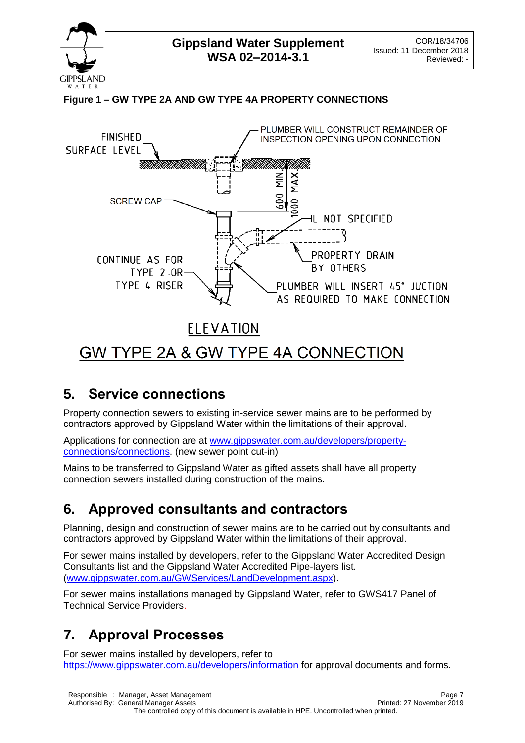

**GIPPSLAND** W A T E R

### **Figure 1 – GW TYPE 2A AND GW TYPE 4A PROPERTY CONNECTIONS**



### **5. Service connections**

Property connection sewers to existing in-service sewer mains are to be performed by contractors approved by Gippsland Water within the limitations of their approval.

Applications for connection are at [www.gippswater.com.au/developers/property](http://www.gippswater.com.au/developers/property-connections/connections)[connections/connections.](http://www.gippswater.com.au/developers/property-connections/connections) (new sewer point cut-in)

Mains to be transferred to Gippsland Water as gifted assets shall have all property connection sewers installed during construction of the mains.

### **6. Approved consultants and contractors**

Planning, design and construction of sewer mains are to be carried out by consultants and contractors approved by Gippsland Water within the limitations of their approval.

For sewer mains installed by developers, refer to the Gippsland Water Accredited Design Consultants list and the Gippsland Water Accredited Pipe-layers list. [\(www.gippswater.com.au/GWServices/LandDevelopment.aspx\)](http://www.gippswater.com.au/GWServices/LandDevelopment.aspx).

For sewer mains installations managed by Gippsland Water, refer to GWS417 Panel of Technical Service Providers.

# **7. Approval Processes**

For sewer mains installed by developers, refer to https://www.gippswater.com.au/developers/information for approval documents and forms.